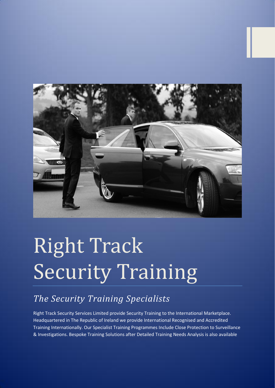

# Right Track Security Training

## *The Security Training Specialists*

Right Track Security Services Limited provide Security Training to the International Marketplace. Headquartered in The Republic of Ireland we provide International Recognised and Accredited Training Internationally. Our Specialist Training Programmes Include Close Protection to Surveillance & Investigations. Bespoke Training Solutions after Detailed Training Needs Analysis is also available